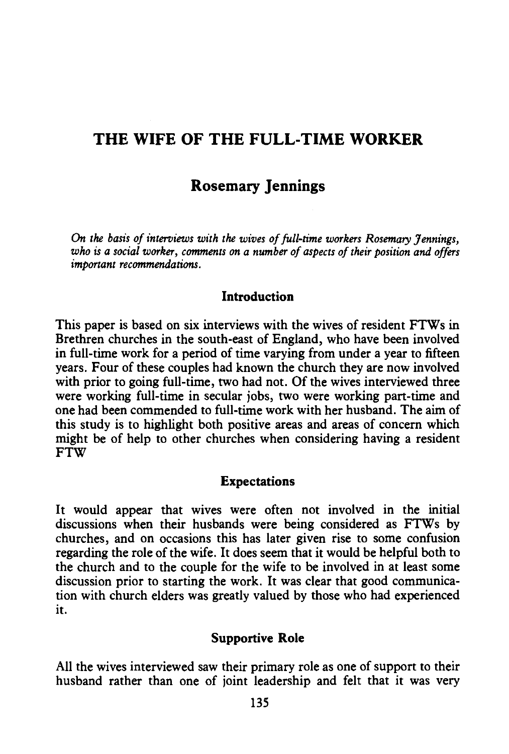# **THE WIFE OF THE FULL-TIME WORKER**

## **Rosemary jennings**

*On the basis of interviews with the wives of full-time workers Rosemary Jennings, who* is *a social worker, comments on a number of aspects of their position and offers important recommendations.* 

#### **Introduction**

This paper is based on six interviews with the wives of resident FTWs in Brethren churches in the south-east of England, who have been involved in full-time work for a period of time varying from under a year to fifteen years. Four of these couples had known the church they are now involved with prior to going full-time, two had not. Of the wives interviewed three were working full-time in secular jobs, two were working part-time and one had been commended to full-time work with her husband. The aim of this study is to highlight both positive areas and areas of concern which might be of help to other churches when considering having a resident FTW

#### **Expectations**

It would appear that wives were often not involved in the initial discussions when their husbands were being considered as FTWs by churches, and on occasions this has later given rise to some confusion regarding the role of the wife. It does seem that it would be helpful both to the church and to the couple for the wife to be involved in at least some discussion prior to starting the work. It was clear that good communication with church elders was greatly valued by those who had experienced it.

#### **Supportive Role**

All the wives interviewed saw their primary role as one of support to their husband rather than one of joint leadership and felt that it was very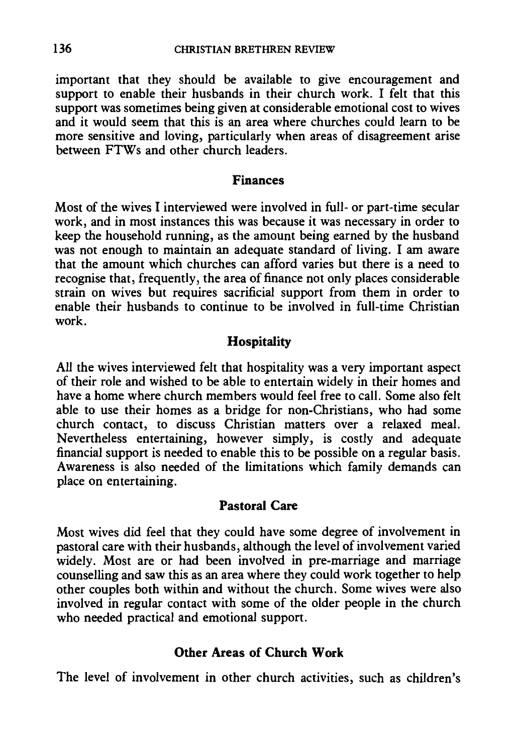important that they should be available to give encouragement and support to enable their husbands in their church work. I felt that this support was sometimes being given at considerable emotional cost to wives and it would seem that this is an area where churches could learn to be more sensitive and loving, particularly when areas of disagreement arise between FTWs and other church leaders.

#### **Finances**

Most of the wives I interviewed were involved in full- or part-time secular work, and in most instances this was because it was necessary in order to keep the household running, as the amount being earned by the husband was not enough to maintain an adequate standard of living. I am aware that the amount which churches can afford varies but there is a need to recognise that, frequently, the area of finance not only places considerable strain on wives but requires sacrificial support from them in order to enable their husbands to continue to be involved in full-time Christian work.

## **Hospitality**

All the wives interviewed felt that hospitality was a very important aspect of their role and wished to be able to entertain widely in their homes and have a home where church members would feel free to call. Some also felt able to use their homes as a bridge for non-Christians, who had some church contact, to discuss Christian matters over a relaxed meal. Nevertheless entertaining, however simply, is costly and adequate financial support is needed to enable this to be possible on a regular basis. Awareness is also needed of the limitations which family demands can place on entertaining.

## **Pastoral Care**

Most wives did feel that they could have some degree of involvement in pastoral care with their husbands, although the level of involvement varied widely. Most are or had been involved in pre-marriage and marriage counselling and saw this as an area where they could work together to help other couples both within and without the church. Some wives were also involved in regular contact with some of the older people in the church who needed practical and emotional support.

## **Other Areas of Church Work**

The level of involvement in other church activities, such as children's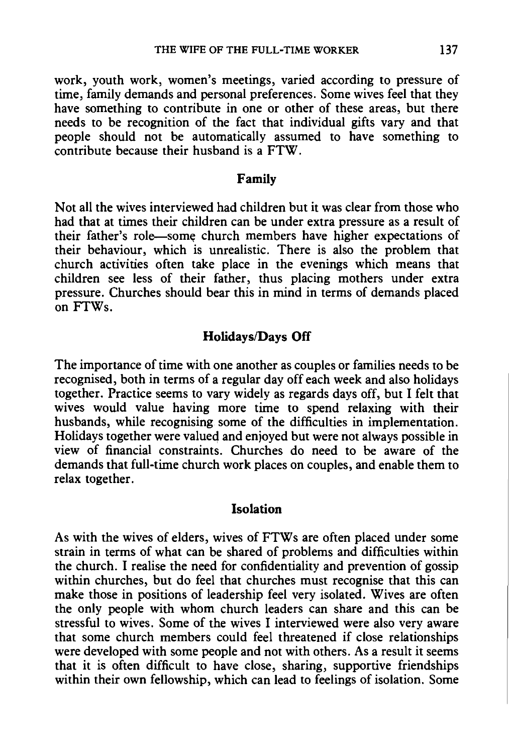work, youth work, women's meetings, varied according to pressure of time, family demands and personal preferences. Some wives feel that they have something to contribute in one or other of these areas, but there needs to be recognition of the fact that individual gifts vary and that people should not be automatically assumed to have something to contribute because their husband is a FTW.

#### **Family**

Not all the wives interviewed had children but it was clear from those who had that at times their children can be under extra pressure as a result of their father's role-some church members have higher expectations of their behaviour, which is unrealistic. There is also the problem that church activities often take place in the evenings which means that children see less of their father, thus placing mothers under extra pressure. Churches should bear this in mind in terms of demands placed on FTWs.

#### **Holidays/Days Off**

The importance of time with one another as couples or families needs to be recognised, both in terms of a regular day off each week and also holidays together. Practice seems to vary widely as regards days off, but I felt that wives would value having more time to spend relaxing with their husbands, while recognising some of the difficulties in implementation. Holidays together were valued and enjoyed but were not always possible in view of financial constraints. Churches do need to be aware of the demands that full-time church work places on couples, and enable them to relax together.

#### **Isolation**

As with the wives of elders, wives of FTWs are often placed under some strain in terms of what can be shared of problems and difficulties within the church. I realise the need for confidentiality and prevention of gossip within churches, but do feel that churches must recognise that this can make those in positions of leadership feel very isolated. Wives are often the only people with whom church leaders can share and this can be stressful to wives. Some of the wives I interviewed were also very aware that some church members could feel threatened if close relationships were developed with some people and not with others. As a result it seems that it is often difficult to have close, sharing, supportive friendships within their own fellowship, which can lead to feelings of isolation. Some